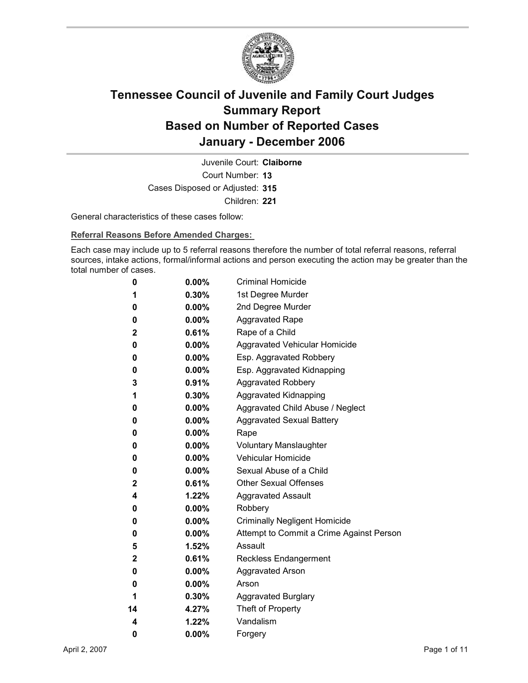

Court Number: **13** Juvenile Court: **Claiborne** Cases Disposed or Adjusted: **315** Children: **221**

General characteristics of these cases follow:

**Referral Reasons Before Amended Charges:** 

Each case may include up to 5 referral reasons therefore the number of total referral reasons, referral sources, intake actions, formal/informal actions and person executing the action may be greater than the total number of cases.

| 0            | $0.00\%$ | <b>Criminal Homicide</b>                 |
|--------------|----------|------------------------------------------|
| 1            | $0.30\%$ | 1st Degree Murder                        |
| 0            | $0.00\%$ | 2nd Degree Murder                        |
| 0            | $0.00\%$ | <b>Aggravated Rape</b>                   |
| $\mathbf 2$  | $0.61\%$ | Rape of a Child                          |
| 0            | $0.00\%$ | Aggravated Vehicular Homicide            |
| 0            | $0.00\%$ | Esp. Aggravated Robbery                  |
| 0            | $0.00\%$ | Esp. Aggravated Kidnapping               |
| 3            | $0.91\%$ | <b>Aggravated Robbery</b>                |
| 1            | 0.30%    | <b>Aggravated Kidnapping</b>             |
| 0            | $0.00\%$ | Aggravated Child Abuse / Neglect         |
| 0            | $0.00\%$ | <b>Aggravated Sexual Battery</b>         |
| 0            | $0.00\%$ | Rape                                     |
| 0            | $0.00\%$ | <b>Voluntary Manslaughter</b>            |
| 0            | $0.00\%$ | <b>Vehicular Homicide</b>                |
| 0            | $0.00\%$ | Sexual Abuse of a Child                  |
| $\mathbf{2}$ | $0.61\%$ | <b>Other Sexual Offenses</b>             |
| 4            | $1.22\%$ | <b>Aggravated Assault</b>                |
| 0            | $0.00\%$ | Robbery                                  |
| 0            | $0.00\%$ | <b>Criminally Negligent Homicide</b>     |
| 0            | $0.00\%$ | Attempt to Commit a Crime Against Person |
| 5            | $1.52\%$ | Assault                                  |
| $\mathbf 2$  | 0.61%    | Reckless Endangerment                    |
| 0            | $0.00\%$ | <b>Aggravated Arson</b>                  |
| 0            | $0.00\%$ | Arson                                    |
| 1            | 0.30%    | <b>Aggravated Burglary</b>               |
| 14           | 4.27%    | Theft of Property                        |
| 4            | 1.22%    | Vandalism                                |
| 0            | 0.00%    | Forgery                                  |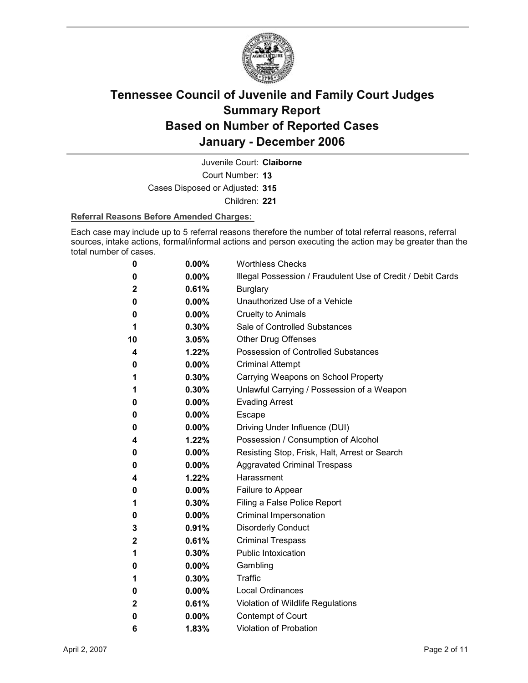

Court Number: **13** Juvenile Court: **Claiborne**

Cases Disposed or Adjusted: **315**

Children: **221**

### **Referral Reasons Before Amended Charges:**

Each case may include up to 5 referral reasons therefore the number of total referral reasons, referral sources, intake actions, formal/informal actions and person executing the action may be greater than the total number of cases.

| 0            | 0.00%    | <b>Worthless Checks</b>                                     |
|--------------|----------|-------------------------------------------------------------|
| 0            | 0.00%    | Illegal Possession / Fraudulent Use of Credit / Debit Cards |
| 2            | 0.61%    | <b>Burglary</b>                                             |
| 0            | $0.00\%$ | Unauthorized Use of a Vehicle                               |
| 0            | $0.00\%$ | <b>Cruelty to Animals</b>                                   |
| 1            | $0.30\%$ | Sale of Controlled Substances                               |
| 10           | 3.05%    | <b>Other Drug Offenses</b>                                  |
| 4            | 1.22%    | Possession of Controlled Substances                         |
| 0            | 0.00%    | <b>Criminal Attempt</b>                                     |
| 1            | 0.30%    | Carrying Weapons on School Property                         |
| 1            | 0.30%    | Unlawful Carrying / Possession of a Weapon                  |
| 0            | $0.00\%$ | <b>Evading Arrest</b>                                       |
| 0            | $0.00\%$ | Escape                                                      |
| 0            | $0.00\%$ | Driving Under Influence (DUI)                               |
| 4            | 1.22%    | Possession / Consumption of Alcohol                         |
| 0            | $0.00\%$ | Resisting Stop, Frisk, Halt, Arrest or Search               |
| 0            | $0.00\%$ | <b>Aggravated Criminal Trespass</b>                         |
| 4            | 1.22%    | Harassment                                                  |
| 0            | $0.00\%$ | Failure to Appear                                           |
| 1            | $0.30\%$ | Filing a False Police Report                                |
| 0            | 0.00%    | Criminal Impersonation                                      |
| 3            | 0.91%    | <b>Disorderly Conduct</b>                                   |
| 2            | 0.61%    | <b>Criminal Trespass</b>                                    |
| 1            | 0.30%    | <b>Public Intoxication</b>                                  |
| 0            | $0.00\%$ | Gambling                                                    |
| 1            | 0.30%    | <b>Traffic</b>                                              |
| 0            | $0.00\%$ | Local Ordinances                                            |
| $\mathbf{2}$ | 0.61%    | Violation of Wildlife Regulations                           |
| 0            | $0.00\%$ | Contempt of Court                                           |
| 6            | 1.83%    | <b>Violation of Probation</b>                               |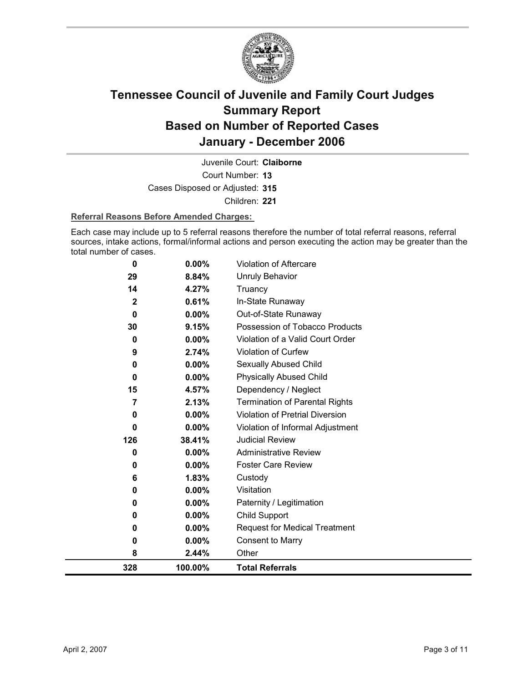

Court Number: **13** Juvenile Court: **Claiborne** Cases Disposed or Adjusted: **315** Children: **221**

### **Referral Reasons Before Amended Charges:**

Each case may include up to 5 referral reasons therefore the number of total referral reasons, referral sources, intake actions, formal/informal actions and person executing the action may be greater than the total number of cases.

| 0<br>0<br>0<br>0<br>0<br>8 | 0.00%<br>0.00%<br>$0.00\%$<br>$0.00\%$<br>2.44%          | Visitation<br>Paternity / Legitimation<br>Child Support<br><b>Request for Medical Treatment</b><br><b>Consent to Marry</b><br>Other |
|----------------------------|----------------------------------------------------------|-------------------------------------------------------------------------------------------------------------------------------------|
|                            |                                                          |                                                                                                                                     |
|                            |                                                          |                                                                                                                                     |
|                            |                                                          |                                                                                                                                     |
|                            |                                                          |                                                                                                                                     |
|                            |                                                          |                                                                                                                                     |
|                            | 0.00%                                                    |                                                                                                                                     |
| 6                          | 1.83%                                                    | Custody                                                                                                                             |
| 0                          | $0.00\%$                                                 | <b>Foster Care Review</b>                                                                                                           |
| 0                          | 0.00%                                                    | <b>Administrative Review</b>                                                                                                        |
| 126                        | 38.41%                                                   | <b>Judicial Review</b>                                                                                                              |
| 0                          | 0.00%                                                    | Violation of Informal Adjustment                                                                                                    |
| 0                          | 0.00%                                                    | Violation of Pretrial Diversion                                                                                                     |
| 7                          | 2.13%                                                    | <b>Termination of Parental Rights</b>                                                                                               |
|                            |                                                          | Dependency / Neglect                                                                                                                |
| 0                          |                                                          | <b>Physically Abused Child</b>                                                                                                      |
| 0                          |                                                          | Sexually Abused Child                                                                                                               |
|                            |                                                          | Violation of Curfew                                                                                                                 |
|                            |                                                          | Violation of a Valid Court Order                                                                                                    |
|                            |                                                          | Possession of Tobacco Products                                                                                                      |
|                            |                                                          | Out-of-State Runaway                                                                                                                |
|                            |                                                          | In-State Runaway                                                                                                                    |
|                            |                                                          | <b>Unruly Behavior</b><br>Truancy                                                                                                   |
|                            |                                                          | Violation of Aftercare                                                                                                              |
|                            | 0<br>29<br>14<br>$\mathbf{2}$<br>0<br>30<br>0<br>9<br>15 | 0.00%<br>8.84%<br>4.27%<br>0.61%<br>$0.00\%$<br>9.15%<br>$0.00\%$<br>2.74%<br>0.00%<br>$0.00\%$<br>4.57%                            |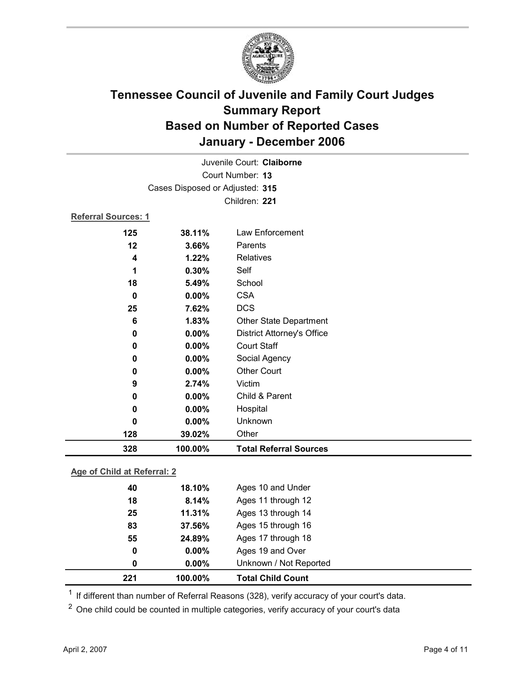

| Juvenile Court: Claiborne   |                                 |                                   |  |  |
|-----------------------------|---------------------------------|-----------------------------------|--|--|
| Court Number: 13            |                                 |                                   |  |  |
|                             | Cases Disposed or Adjusted: 315 |                                   |  |  |
|                             |                                 | Children: 221                     |  |  |
| <b>Referral Sources: 1</b>  |                                 |                                   |  |  |
| 125                         | 38.11%                          | Law Enforcement                   |  |  |
| 12                          | 3.66%                           | Parents                           |  |  |
| 4                           | 1.22%                           | Relatives                         |  |  |
| 1                           | 0.30%                           | Self                              |  |  |
| 18                          | 5.49%                           | School                            |  |  |
| $\mathbf 0$                 | $0.00\%$                        | <b>CSA</b>                        |  |  |
| 25                          | 7.62%                           | <b>DCS</b>                        |  |  |
| 6                           | 1.83%                           | <b>Other State Department</b>     |  |  |
| 0                           | 0.00%                           | <b>District Attorney's Office</b> |  |  |
| 0                           | 0.00%                           | <b>Court Staff</b>                |  |  |
| 0                           | $0.00\%$                        | Social Agency                     |  |  |
| 0                           | 0.00%                           | <b>Other Court</b>                |  |  |
| 9                           | 2.74%                           | Victim                            |  |  |
| 0                           | 0.00%                           | Child & Parent                    |  |  |
| 0                           | 0.00%                           | Hospital                          |  |  |
| 0                           | 0.00%                           | Unknown                           |  |  |
| 128                         | 39.02%                          | Other                             |  |  |
| 328                         | 100.00%                         | <b>Total Referral Sources</b>     |  |  |
| Ang of Child at Referral: 2 |                                 |                                   |  |  |

**Age of Child at Referral: 2**

| 221 | 100.00%  | <b>Total Child Count</b> |
|-----|----------|--------------------------|
| 0   | 0.00%    | Unknown / Not Reported   |
| 0   | $0.00\%$ | Ages 19 and Over         |
| 55  | 24.89%   | Ages 17 through 18       |
| 83  | 37.56%   | Ages 15 through 16       |
| 25  | 11.31%   | Ages 13 through 14       |
| 18  | 8.14%    | Ages 11 through 12       |
| 40  | 18.10%   | Ages 10 and Under        |
|     |          |                          |

<sup>1</sup> If different than number of Referral Reasons (328), verify accuracy of your court's data.

<sup>2</sup> One child could be counted in multiple categories, verify accuracy of your court's data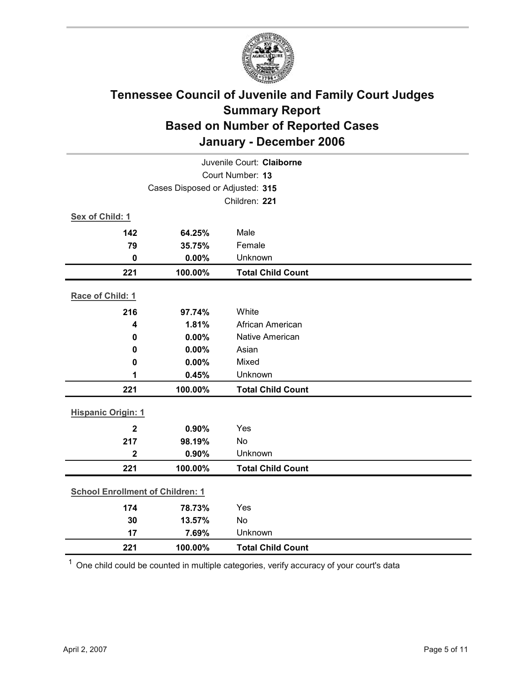

| Juvenile Court: Claiborne               |                                 |                          |  |  |  |
|-----------------------------------------|---------------------------------|--------------------------|--|--|--|
| Court Number: 13                        |                                 |                          |  |  |  |
|                                         | Cases Disposed or Adjusted: 315 |                          |  |  |  |
|                                         |                                 | Children: 221            |  |  |  |
| Sex of Child: 1                         |                                 |                          |  |  |  |
| 142                                     | 64.25%                          | Male                     |  |  |  |
| 79                                      | 35.75%                          | Female                   |  |  |  |
| $\pmb{0}$                               | 0.00%                           | Unknown                  |  |  |  |
| 221                                     | 100.00%                         | <b>Total Child Count</b> |  |  |  |
| Race of Child: 1                        |                                 |                          |  |  |  |
| 216                                     | 97.74%                          | White                    |  |  |  |
| 4                                       | 1.81%                           | African American         |  |  |  |
| $\bf{0}$                                | 0.00%                           | Native American          |  |  |  |
| 0                                       | 0.00%                           | Asian                    |  |  |  |
| $\bf{0}$                                | 0.00%                           | Mixed                    |  |  |  |
| 1                                       | 0.45%                           | Unknown                  |  |  |  |
| 221                                     | 100.00%                         | <b>Total Child Count</b> |  |  |  |
| <b>Hispanic Origin: 1</b>               |                                 |                          |  |  |  |
| $\overline{2}$                          | 0.90%                           | Yes                      |  |  |  |
| 217                                     | 98.19%                          | No                       |  |  |  |
| $\overline{2}$                          | 0.90%                           | Unknown                  |  |  |  |
| 221                                     | 100.00%                         | <b>Total Child Count</b> |  |  |  |
| <b>School Enrollment of Children: 1</b> |                                 |                          |  |  |  |
| 174                                     | 78.73%                          | Yes                      |  |  |  |
| 30                                      | 13.57%                          | No                       |  |  |  |
| 17                                      | 7.69%                           | Unknown                  |  |  |  |
| 221                                     | 100.00%                         | <b>Total Child Count</b> |  |  |  |

 $1$  One child could be counted in multiple categories, verify accuracy of your court's data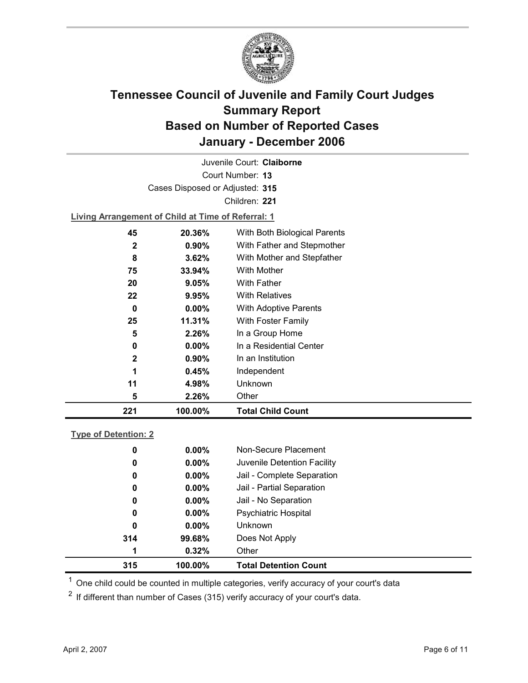

Court Number: **13** Juvenile Court: **Claiborne** Cases Disposed or Adjusted: **315** Children: **221 Living Arrangement of Child at Time of Referral: 1 45 20.36%** With Both Biological Parents **2 0.90%** With Father and Stepmother **8 3.62%** With Mother and Stepfather **75 33.94%** With Mother

| 221 | 100.00%  | <b>Total Child Count</b> |
|-----|----------|--------------------------|
| 5   | 2.26%    | Other                    |
| 11  | 4.98%    | <b>Unknown</b>           |
| 1   | 0.45%    | Independent              |
| 2   | $0.90\%$ | In an Institution        |
| 0   | $0.00\%$ | In a Residential Center  |
| 5   | 2.26%    | In a Group Home          |
| 25  | 11.31%   | With Foster Family       |
| 0   | $0.00\%$ | With Adoptive Parents    |
| 22  | 9.95%    | <b>With Relatives</b>    |
| 20  | 9.05%    | <b>With Father</b>       |
|     |          |                          |

### **Type of Detention: 2**

| 315 | 100.00%  | <b>Total Detention Count</b> |
|-----|----------|------------------------------|
| 1   | 0.32%    | Other                        |
| 314 | 99.68%   | Does Not Apply               |
| 0   | $0.00\%$ | <b>Unknown</b>               |
| 0   | $0.00\%$ | <b>Psychiatric Hospital</b>  |
| 0   | $0.00\%$ | Jail - No Separation         |
| 0   | $0.00\%$ | Jail - Partial Separation    |
| 0   | $0.00\%$ | Jail - Complete Separation   |
| 0   | $0.00\%$ | Juvenile Detention Facility  |
| 0   | $0.00\%$ | Non-Secure Placement         |
|     |          |                              |

 $<sup>1</sup>$  One child could be counted in multiple categories, verify accuracy of your court's data</sup>

 $2$  If different than number of Cases (315) verify accuracy of your court's data.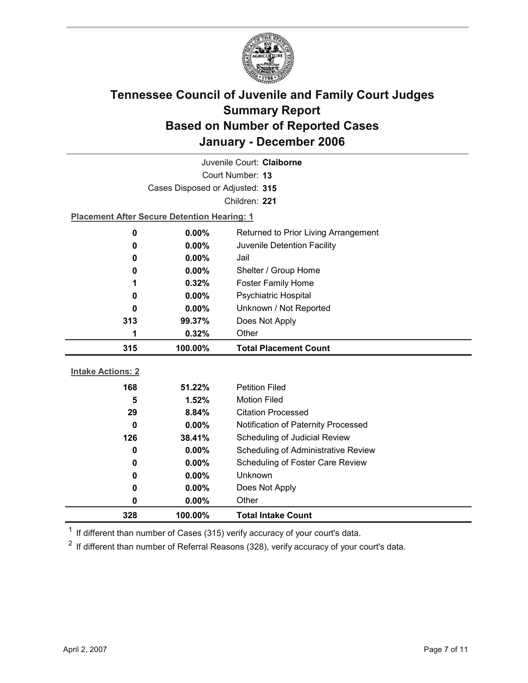

| Juvenile Court: Claiborne |                                                    |                                            |  |  |
|---------------------------|----------------------------------------------------|--------------------------------------------|--|--|
|                           | Court Number: 13                                   |                                            |  |  |
|                           | Cases Disposed or Adjusted: 315                    |                                            |  |  |
|                           |                                                    | Children: 221                              |  |  |
|                           | <b>Placement After Secure Detention Hearing: 1</b> |                                            |  |  |
| $\bf{0}$                  | 0.00%                                              | Returned to Prior Living Arrangement       |  |  |
| 0                         | 0.00%                                              | Juvenile Detention Facility                |  |  |
| 0                         | $0.00\%$                                           | Jail                                       |  |  |
| 0                         | 0.00%                                              | Shelter / Group Home                       |  |  |
| 1                         | 0.32%                                              | <b>Foster Family Home</b>                  |  |  |
| 0                         | 0.00%                                              | Psychiatric Hospital                       |  |  |
| 0                         | 0.00%                                              | Unknown / Not Reported                     |  |  |
| 313                       | 99.37%                                             | Does Not Apply                             |  |  |
| 1                         | 0.32%                                              | Other                                      |  |  |
|                           |                                                    |                                            |  |  |
| 315                       | 100.00%                                            | <b>Total Placement Count</b>               |  |  |
|                           |                                                    |                                            |  |  |
| <b>Intake Actions: 2</b>  |                                                    |                                            |  |  |
| 168                       | 51.22%                                             | <b>Petition Filed</b>                      |  |  |
| 5                         | 1.52%                                              | <b>Motion Filed</b>                        |  |  |
| 29                        | 8.84%                                              | <b>Citation Processed</b>                  |  |  |
| $\bf{0}$                  | $0.00\%$                                           | Notification of Paternity Processed        |  |  |
| 126                       | 38.41%                                             | Scheduling of Judicial Review              |  |  |
| 0                         | $0.00\%$                                           | <b>Scheduling of Administrative Review</b> |  |  |
| 0                         | $0.00\%$                                           | Scheduling of Foster Care Review           |  |  |
| 0                         | 0.00%                                              | Unknown                                    |  |  |
| 0                         | $0.00\%$                                           | Does Not Apply                             |  |  |
| 0<br>328                  | 0.00%<br>100.00%                                   | Other<br><b>Total Intake Count</b>         |  |  |

 $1$  If different than number of Cases (315) verify accuracy of your court's data.

 $2$  If different than number of Referral Reasons (328), verify accuracy of your court's data.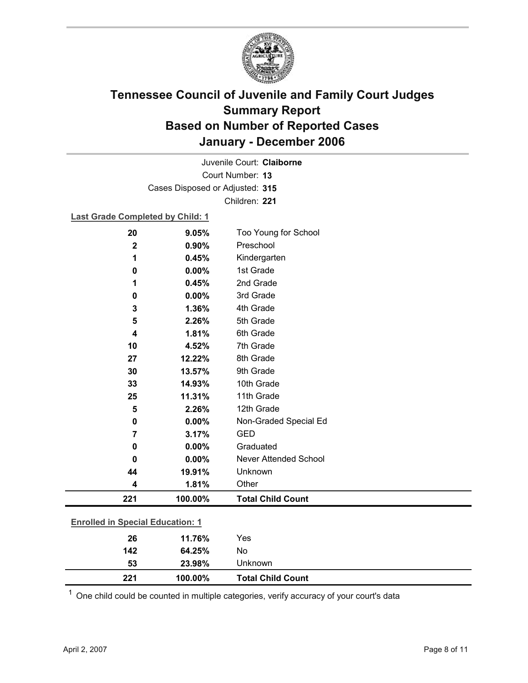

Court Number: **13** Juvenile Court: **Claiborne** Cases Disposed or Adjusted: **315** Children: **221**

### **Last Grade Completed by Child: 1**

| 20          | 9.05%                                   | Too Young for School         |  |  |  |
|-------------|-----------------------------------------|------------------------------|--|--|--|
| $\mathbf 2$ | 0.90%                                   | Preschool                    |  |  |  |
| 1           | 0.45%                                   | Kindergarten                 |  |  |  |
| $\mathbf 0$ | 0.00%                                   | 1st Grade                    |  |  |  |
| 1           | 0.45%                                   | 2nd Grade                    |  |  |  |
| 0           | 0.00%                                   | 3rd Grade                    |  |  |  |
| 3           | 1.36%                                   | 4th Grade                    |  |  |  |
| 5           | 2.26%                                   | 5th Grade                    |  |  |  |
| 4           | 1.81%                                   | 6th Grade                    |  |  |  |
| 10          | 4.52%                                   | 7th Grade                    |  |  |  |
| 27          | 12.22%                                  | 8th Grade                    |  |  |  |
| 30          | 13.57%                                  | 9th Grade                    |  |  |  |
| 33          | 14.93%                                  | 10th Grade                   |  |  |  |
| 25          | 11.31%                                  | 11th Grade                   |  |  |  |
| 5           | 2.26%                                   | 12th Grade                   |  |  |  |
| 0           | 0.00%                                   | Non-Graded Special Ed        |  |  |  |
| 7           | 3.17%                                   | <b>GED</b>                   |  |  |  |
| 0           | 0.00%                                   | Graduated                    |  |  |  |
| 0           | 0.00%                                   | <b>Never Attended School</b> |  |  |  |
| 44          | 19.91%                                  | Unknown                      |  |  |  |
| 4           | 1.81%                                   | Other                        |  |  |  |
| 221         | 100.00%                                 | <b>Total Child Count</b>     |  |  |  |
|             | <b>Enrolled in Special Education: 1</b> |                              |  |  |  |
|             |                                         |                              |  |  |  |
| 26          | 11.76%                                  | Yes                          |  |  |  |
| 142         | 64.25%                                  | No                           |  |  |  |

 $1$  One child could be counted in multiple categories, verify accuracy of your court's data

**53 23.98%** Unknown

**221 100.00% Total Child Count**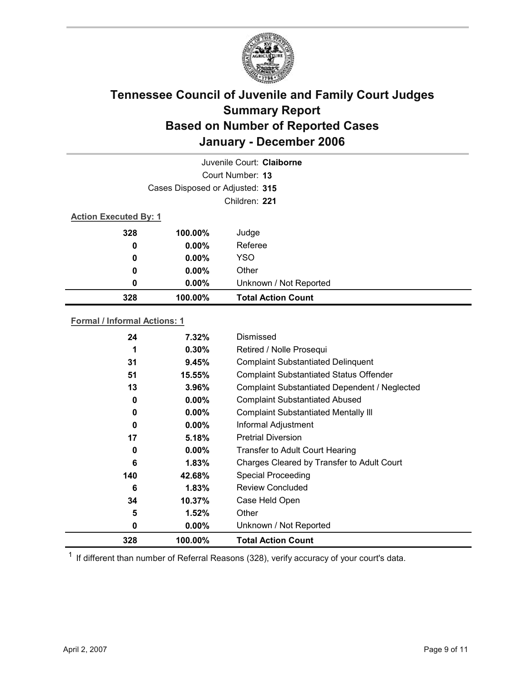

| Juvenile Court: Claiborne    |                                 |                           |  |  |
|------------------------------|---------------------------------|---------------------------|--|--|
|                              | Court Number: 13                |                           |  |  |
|                              | Cases Disposed or Adjusted: 315 |                           |  |  |
|                              | Children: 221                   |                           |  |  |
| <b>Action Executed By: 1</b> |                                 |                           |  |  |
| 328                          | 100.00%                         | Judge                     |  |  |
| 0                            | $0.00\%$                        | Referee                   |  |  |
| 0                            | $0.00\%$                        | <b>YSO</b>                |  |  |
| 0                            | $0.00\%$                        | Other                     |  |  |
| 0                            | $0.00\%$                        | Unknown / Not Reported    |  |  |
| 328                          | 100.00%                         | <b>Total Action Count</b> |  |  |

### **Formal / Informal Actions: 1**

| 24  | 7.32%    | Dismissed                                      |
|-----|----------|------------------------------------------------|
| 1   | $0.30\%$ | Retired / Nolle Prosequi                       |
| 31  | 9.45%    | <b>Complaint Substantiated Delinquent</b>      |
| 51  | 15.55%   | <b>Complaint Substantiated Status Offender</b> |
| 13  | 3.96%    | Complaint Substantiated Dependent / Neglected  |
| 0   | $0.00\%$ | <b>Complaint Substantiated Abused</b>          |
| 0   | $0.00\%$ | <b>Complaint Substantiated Mentally III</b>    |
| 0   | $0.00\%$ | Informal Adjustment                            |
| 17  | 5.18%    | <b>Pretrial Diversion</b>                      |
| 0   | $0.00\%$ | Transfer to Adult Court Hearing                |
| 6   | 1.83%    | Charges Cleared by Transfer to Adult Court     |
| 140 | 42.68%   | <b>Special Proceeding</b>                      |
| 6   | $1.83\%$ | <b>Review Concluded</b>                        |
| 34  | 10.37%   | Case Held Open                                 |
| 5   | 1.52%    | Other                                          |
| 0   | $0.00\%$ | Unknown / Not Reported                         |
| 328 | 100.00%  | <b>Total Action Count</b>                      |

 $1$  If different than number of Referral Reasons (328), verify accuracy of your court's data.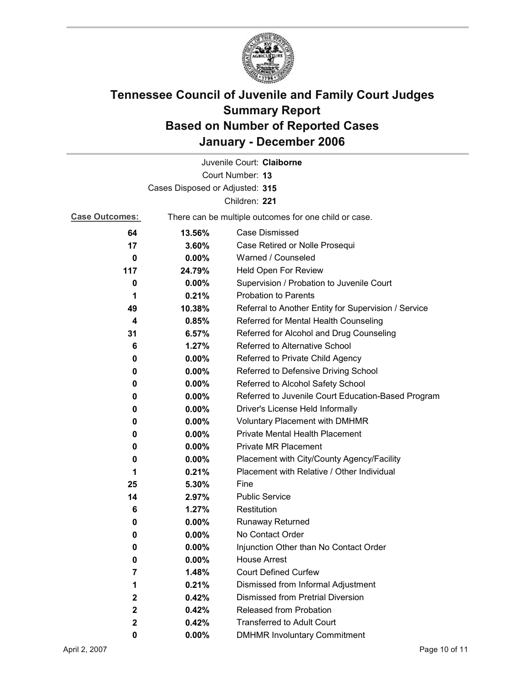

|                       |                                 | Juvenile Court: Claiborne                             |
|-----------------------|---------------------------------|-------------------------------------------------------|
|                       |                                 | Court Number: 13                                      |
|                       | Cases Disposed or Adjusted: 315 |                                                       |
|                       |                                 | Children: 221                                         |
| <b>Case Outcomes:</b> |                                 | There can be multiple outcomes for one child or case. |
| 64                    | 13.56%                          | <b>Case Dismissed</b>                                 |
| 17                    | 3.60%                           | Case Retired or Nolle Prosequi                        |
| 0                     | 0.00%                           | Warned / Counseled                                    |
| 117                   | 24.79%                          | Held Open For Review                                  |
| 0                     | $0.00\%$                        | Supervision / Probation to Juvenile Court             |
| 1                     | 0.21%                           | <b>Probation to Parents</b>                           |
| 49                    | 10.38%                          | Referral to Another Entity for Supervision / Service  |
| 4                     | 0.85%                           | Referred for Mental Health Counseling                 |
| 31                    | 6.57%                           | Referred for Alcohol and Drug Counseling              |
| 6                     | 1.27%                           | Referred to Alternative School                        |
| 0                     | $0.00\%$                        | Referred to Private Child Agency                      |
| 0                     | $0.00\%$                        | Referred to Defensive Driving School                  |
| 0                     | $0.00\%$                        | Referred to Alcohol Safety School                     |
| 0                     | 0.00%                           | Referred to Juvenile Court Education-Based Program    |
| 0                     | $0.00\%$                        | Driver's License Held Informally                      |
| 0                     | $0.00\%$                        | <b>Voluntary Placement with DMHMR</b>                 |
| 0                     | 0.00%                           | Private Mental Health Placement                       |
| 0                     | $0.00\%$                        | <b>Private MR Placement</b>                           |
| 0                     | 0.00%                           | Placement with City/County Agency/Facility            |
| 1                     | 0.21%                           | Placement with Relative / Other Individual            |
| 25                    | 5.30%                           | Fine                                                  |
| 14                    | 2.97%                           | <b>Public Service</b>                                 |
| 6                     | 1.27%                           | Restitution                                           |
| 0                     | 0.00%                           | <b>Runaway Returned</b>                               |
| 0                     | 0.00%                           | No Contact Order                                      |
| 0                     | 0.00%                           | Injunction Other than No Contact Order                |
| 0                     | $0.00\%$                        | <b>House Arrest</b>                                   |
| 7                     | 1.48%                           | <b>Court Defined Curfew</b>                           |
| 1                     | 0.21%                           | Dismissed from Informal Adjustment                    |
| 2                     | 0.42%                           | Dismissed from Pretrial Diversion                     |
| 2                     | 0.42%                           | Released from Probation                               |
| 2                     | 0.42%                           | <b>Transferred to Adult Court</b>                     |
| 0                     | $0.00\%$                        | <b>DMHMR Involuntary Commitment</b>                   |